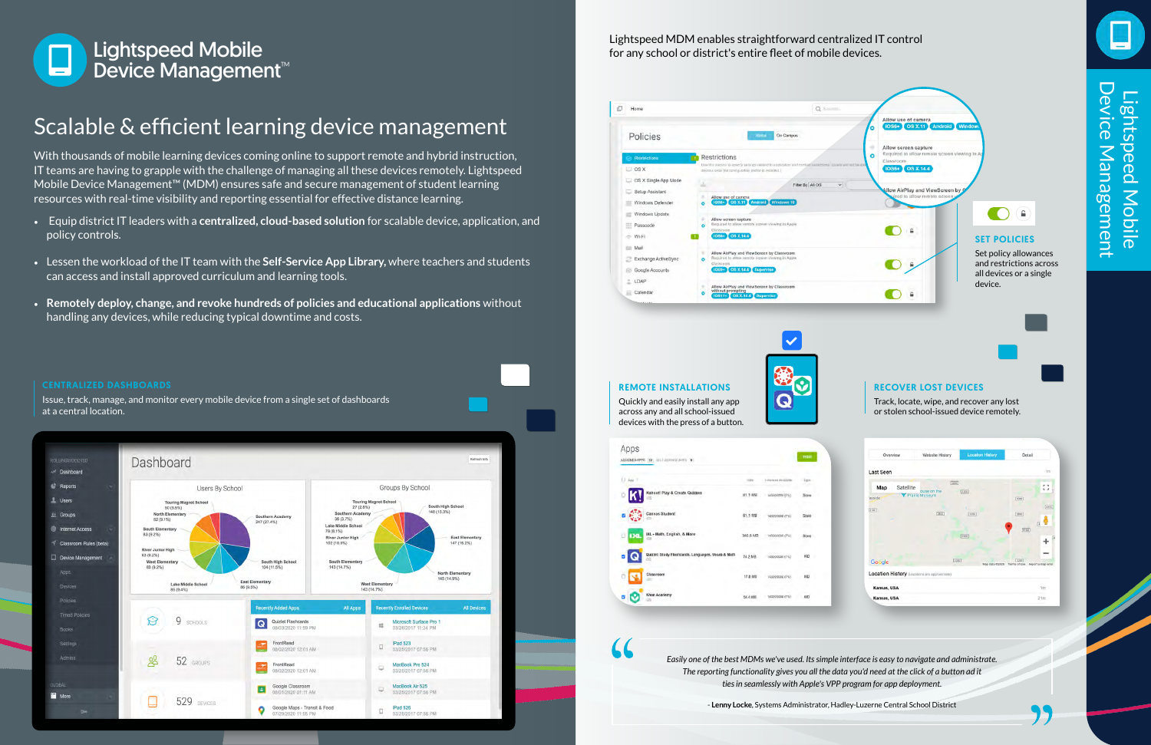### Lightspeed MDM enables straightforward centralized IT control for any school or district's entire fleet of mobile devices.

### Scalable & efficient learning device management

With thousands of mobile learning devices coming online to support remote and hybrid instruction, IT teams are having to grapple with the challenge of managing all these devices remotely. Lightspeed Mobile Device Management™ (MDM) ensures safe and secure management of student learning resources with real-time visibility and reporting essential for effective distance learning.

- Equip district IT leaders with a **centralized, cloud-based solution** for scalable device, application, and policy controls.
- Lessen the workload of the IT team with the **Self-Service App Library,** where teachers and students can access and install approved curriculum and learning tools.
- **Remotely deploy, change, and revoke hundreds of policies and educational applications** without handling any devices, while reducing typical downtime and costs.

Device Management Device ManagementLightspeed Mobile Lightspeed Mobile

*Easily one of the best MDMs we've used. Its simple interface is easy to navigate and administrate. The reporting functionality gives you all the data you'd need at the click of a button ad it ties in seamlessly with Apple's VPP program for app deployment.*

- **Lenny Locke**, Systems Administrator, Hadley-Luzerne Central School District



 $\checkmark$ 

#### REMOTE INSTALLATIONS

"

Quickly and easily install any app across any and all school-issued devices with the press of a button.





Track, locate, wipe, and recover any lost or stolen school-issued device remotely.

| Overview                   | Website History                              | <b>Location History</b>  | Detail                                    |
|----------------------------|----------------------------------------------|--------------------------|-------------------------------------------|
| Last Seen                  |                                              |                          | 1m                                        |
| Satellite<br>Map<br>ayside | 7200<br>ouse on the<br><b>Prairie Museum</b> | [3300]                   | r n<br>L J<br>[3000]                      |
| [2100]                     | 2800                                         | [3350]                   | (4350)<br>[2600]<br>73                    |
|                            |                                              | [3300]                   | 4100                                      |
| Google                     |                                              | [2200]<br>Map data @2020 | [2200]<br>Terms of Use Report a map error |
|                            | Location History (Locators are approximate)  |                          |                                           |
| Kansas, USA                |                                              |                          | 101                                       |
| Kansas, USA                |                                              |                          | 21m                                       |



Issue, track, manage, and monitor every mobile device from a single set of dashboards at a central location.